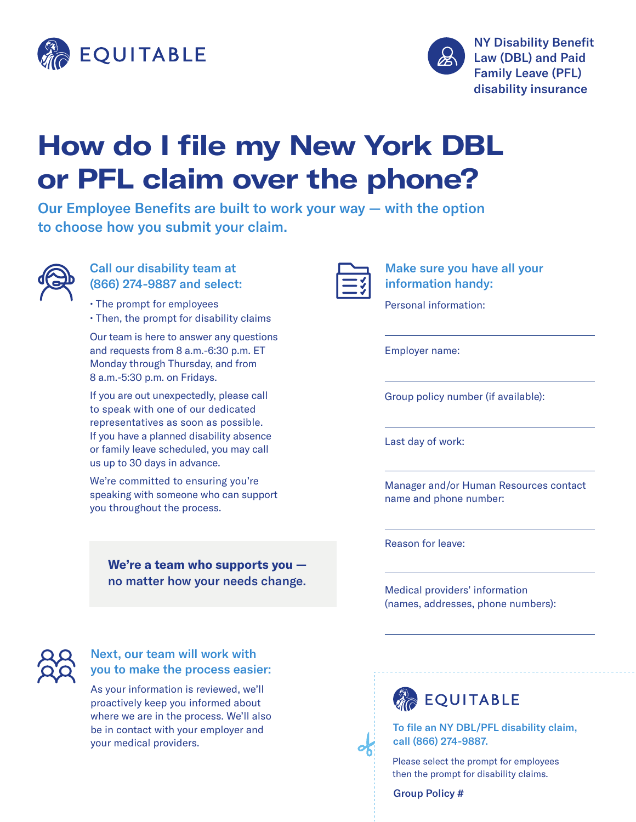



# **How do I file my New York DBL or PFL claim over the phone?**

Our Employee Benefits are built to work your way — with the option to choose how you submit your claim.



#### Call our disability team at (866) 274-9887 and select:

• The prompt for employees • Then, the prompt for disability claims

Our team is here to answer any questions and requests from 8 a.m.-6:30 p.m. ET Monday through Thursday, and from 8 a.m.-5:30 p.m. on Fridays.

If you are out unexpectedly, please call to speak with one of our dedicated representatives as soon as possible. If you have a planned disability absence or family leave scheduled, you may call us up to 30 days in advance.

We're committed to ensuring you're speaking with someone who can support you throughout the process.

> **We're a team who supports you**  no matter how your needs change.

Make sure you have all your information handy:

Personal information:

Employer name:

Group policy number (if available):

Last day of work:

Manager and/or Human Resources contact name and phone number:

Reason for leave:

Medical providers' information (names, addresses, phone numbers):



#### Next, our team will work with you to make the process easier:

As your information is reviewed, we'll proactively keep you informed about where we are in the process. We'll also be in contact with your employer and your medical providers.





Please select the prompt for employees then the prompt for disability claims.

Group Policy #